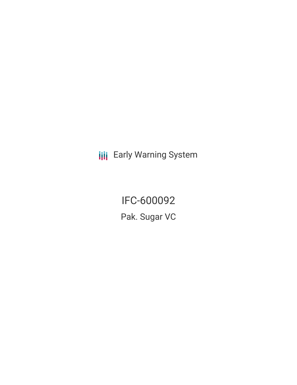**III** Early Warning System

IFC-600092 Pak. Sugar VC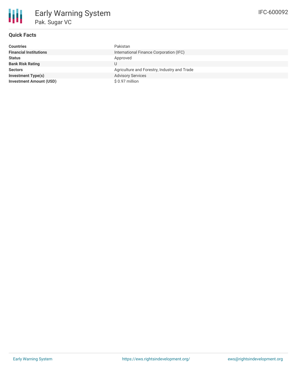

## **Quick Facts**

| <b>Countries</b>               | Pakistan                                     |
|--------------------------------|----------------------------------------------|
| <b>Financial Institutions</b>  | International Finance Corporation (IFC)      |
| <b>Status</b>                  | Approved                                     |
| <b>Bank Risk Rating</b>        |                                              |
| <b>Sectors</b>                 | Agriculture and Forestry, Industry and Trade |
| <b>Investment Type(s)</b>      | <b>Advisory Services</b>                     |
| <b>Investment Amount (USD)</b> | \$ 0.97 million                              |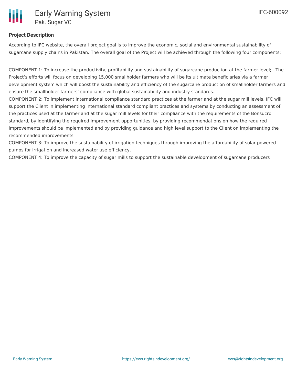

### **Project Description**

According to IFC website, the overall project goal is to improve the economic, social and environmental sustainability of sugarcane supply chains in Pakistan. The overall goal of the Project will be achieved through the following four components:

COMPONENT 1: To increase the productivity, profitability and sustainability of sugarcane production at the farmer level; . The Project's efforts will focus on developing 15,000 smallholder farmers who will be its ultimate beneficiaries via a farmer development system which will boost the sustainability and efficiency of the sugarcane production of smallholder farmers and ensure the smallholder farmers' compliance with global sustainability and industry standards.

COMPONENT 2: To implement international compliance standard practices at the farmer and at the sugar mill levels. IFC will support the Client in implementing international standard compliant practices and systems by conducting an assessment of the practices used at the farmer and at the sugar mill levels for their compliance with the requirements of the Bonsucro standard, by identifying the required improvement opportunities, by providing recommendations on how the required improvements should be implemented and by providing guidance and high level support to the Client on implementing the recommended improvements

COMPONENT 3: To improve the sustainability of irrigation techniques through improving the affordability of solar powered pumps for irrigation and increased water use efficiency.

COMPONENT 4: To improve the capacity of sugar mills to support the sustainable development of sugarcane producers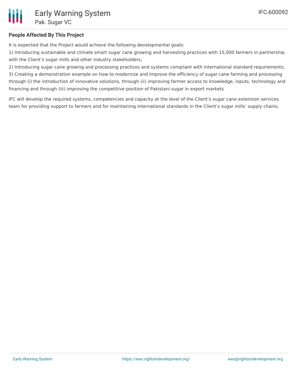

### **People Affected By This Project**

It is expected that the Project would achieve the following developmental goals:

1) Introducing sustainable and climate smart sugar cane growing and harvesting practices with 15,000 farmers in partnership with the Client's sugar mills and other industry stakeholders;

2) Introducing sugar cane growing and processing practices and systems compliant with international standard requirements; 3) Creating a demonstration example on how to modernize and improve the efficiency of sugar cane farming and processing through (i) the introduction of innovative solutions, through (ii) improving farmer access to knowledge, inputs, technology and financing and through (iii) improving the competitive position of Pakistani sugar in export markets

IFC will develop the required systems, competencies and capacity at the level of the Client's sugar cane extension services team for providing support to farmers and for maintaining international standards in the Client's sugar mills' supply chains.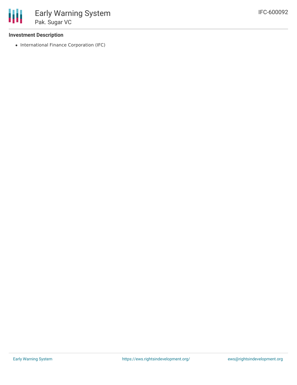

#### **Investment Description**

• International Finance Corporation (IFC)